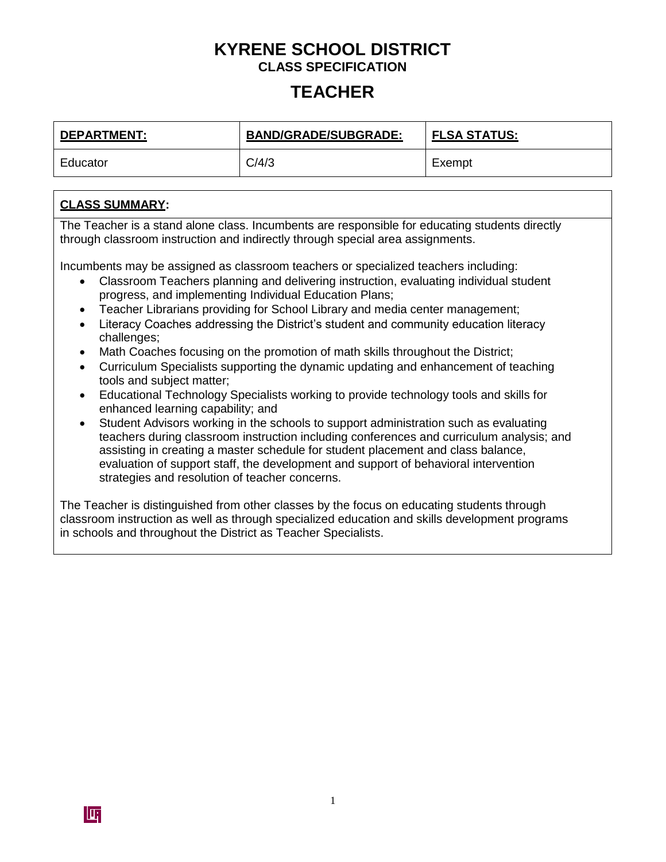## **TEACHER**

| <b>DEPARTMENT:</b> | <b>BAND/GRADE/SUBGRADE:</b> | <b>FLSA STATUS:</b> |
|--------------------|-----------------------------|---------------------|
| Educator           | C/4/3                       | Exempt              |

### **CLASS SUMMARY:**

The Teacher is a stand alone class. Incumbents are responsible for educating students directly through classroom instruction and indirectly through special area assignments.

Incumbents may be assigned as classroom teachers or specialized teachers including:

- Classroom Teachers planning and delivering instruction, evaluating individual student progress, and implementing Individual Education Plans;
- Teacher Librarians providing for School Library and media center management;
- Literacy Coaches addressing the District's student and community education literacy challenges;
- Math Coaches focusing on the promotion of math skills throughout the District;
- Curriculum Specialists supporting the dynamic updating and enhancement of teaching tools and subject matter;
- Educational Technology Specialists working to provide technology tools and skills for enhanced learning capability; and
- Student Advisors working in the schools to support administration such as evaluating teachers during classroom instruction including conferences and curriculum analysis; and assisting in creating a master schedule for student placement and class balance, evaluation of support staff, the development and support of behavioral intervention strategies and resolution of teacher concerns.

The Teacher is distinguished from other classes by the focus on educating students through classroom instruction as well as through specialized education and skills development programs in schools and throughout the District as Teacher Specialists.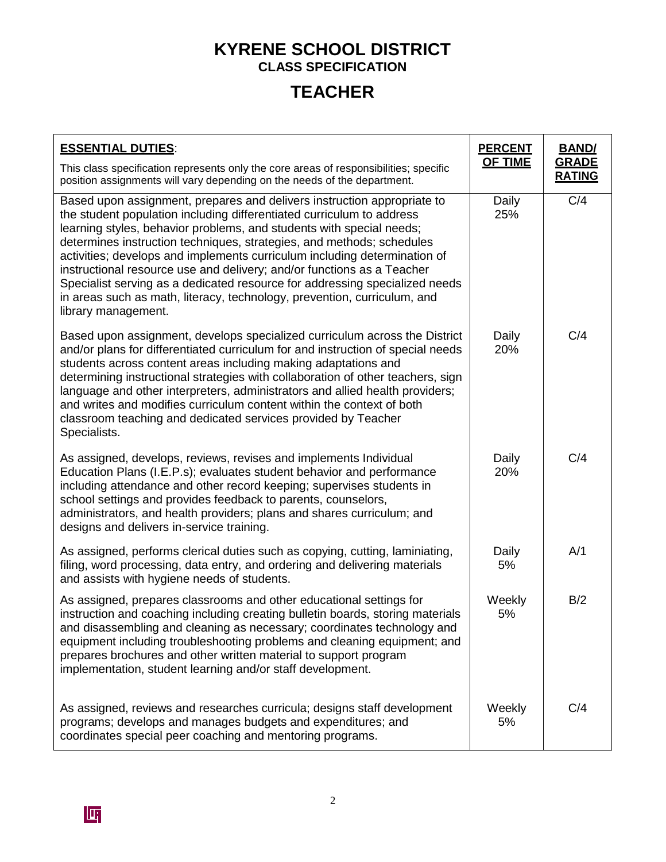# **TEACHER**

| <b>ESSENTIAL DUTIES:</b>                                                                                                                                                                                                                                                                                                                                                                                                                                                                                                                                                                                                                   |                | <b>BAND</b>                   |
|--------------------------------------------------------------------------------------------------------------------------------------------------------------------------------------------------------------------------------------------------------------------------------------------------------------------------------------------------------------------------------------------------------------------------------------------------------------------------------------------------------------------------------------------------------------------------------------------------------------------------------------------|----------------|-------------------------------|
| This class specification represents only the core areas of responsibilities; specific<br>position assignments will vary depending on the needs of the department.                                                                                                                                                                                                                                                                                                                                                                                                                                                                          | <b>OF TIME</b> | <b>GRADE</b><br><b>RATING</b> |
| Based upon assignment, prepares and delivers instruction appropriate to<br>the student population including differentiated curriculum to address<br>learning styles, behavior problems, and students with special needs;<br>determines instruction techniques, strategies, and methods; schedules<br>activities; develops and implements curriculum including determination of<br>instructional resource use and delivery; and/or functions as a Teacher<br>Specialist serving as a dedicated resource for addressing specialized needs<br>in areas such as math, literacy, technology, prevention, curriculum, and<br>library management. | Daily<br>25%   | C/4                           |
| Based upon assignment, develops specialized curriculum across the District<br>and/or plans for differentiated curriculum for and instruction of special needs<br>students across content areas including making adaptations and<br>determining instructional strategies with collaboration of other teachers, sign<br>language and other interpreters, administrators and allied health providers;<br>and writes and modifies curriculum content within the context of both<br>classroom teaching and dedicated services provided by Teacher<br>Specialists.                                                                               | Daily<br>20%   | C/4                           |
| As assigned, develops, reviews, revises and implements Individual<br>Education Plans (I.E.P.s); evaluates student behavior and performance<br>including attendance and other record keeping; supervises students in<br>school settings and provides feedback to parents, counselors,<br>administrators, and health providers; plans and shares curriculum; and<br>designs and delivers in-service training.                                                                                                                                                                                                                                | Daily<br>20%   | C/4                           |
| As assigned, performs clerical duties such as copying, cutting, laminiating,<br>filing, word processing, data entry, and ordering and delivering materials<br>and assists with hygiene needs of students.                                                                                                                                                                                                                                                                                                                                                                                                                                  | Daily<br>5%    | A/1                           |
| As assigned, prepares classrooms and other educational settings for<br>instruction and coaching including creating bulletin boards, storing materials<br>and disassembling and cleaning as necessary; coordinates technology and<br>equipment including troubleshooting problems and cleaning equipment; and<br>prepares brochures and other written material to support program<br>implementation, student learning and/or staff development.                                                                                                                                                                                             | Weekly<br>5%   | B/2                           |
| As assigned, reviews and researches curricula; designs staff development<br>programs; develops and manages budgets and expenditures; and<br>coordinates special peer coaching and mentoring programs.                                                                                                                                                                                                                                                                                                                                                                                                                                      | Weekly<br>5%   | C/4                           |

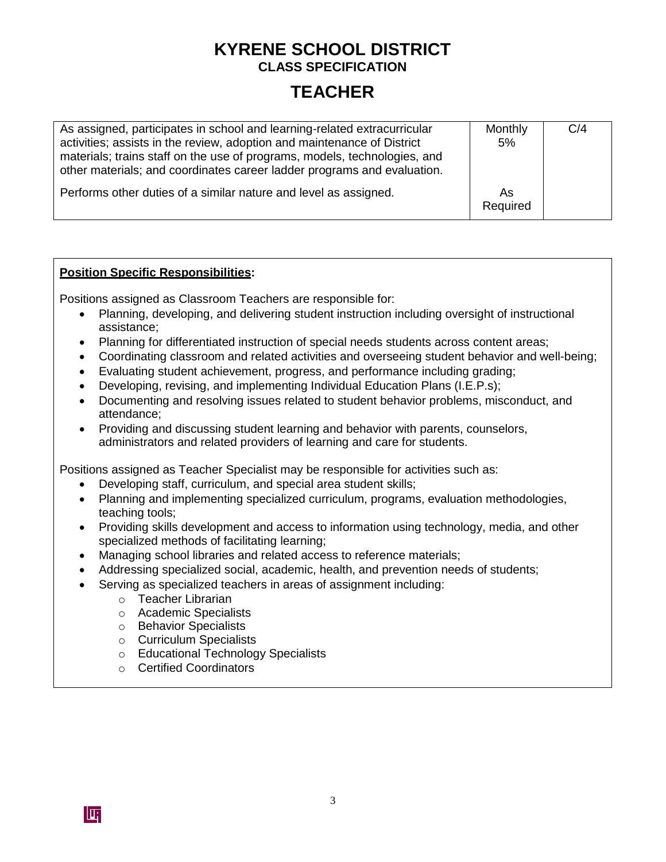## **TEACHER**

| As assigned, participates in school and learning-related extracurricular<br>activities; assists in the review, adoption and maintenance of District<br>materials; trains staff on the use of programs, models, technologies, and<br>other materials; and coordinates career ladder programs and evaluation. | Monthly<br>5%  | C/4 |
|-------------------------------------------------------------------------------------------------------------------------------------------------------------------------------------------------------------------------------------------------------------------------------------------------------------|----------------|-----|
| Performs other duties of a similar nature and level as assigned.                                                                                                                                                                                                                                            | As<br>Required |     |

### **Position Specific Responsibilities:**

Positions assigned as Classroom Teachers are responsible for:

- Planning, developing, and delivering student instruction including oversight of instructional assistance;
- Planning for differentiated instruction of special needs students across content areas;
- Coordinating classroom and related activities and overseeing student behavior and well-being;
- Evaluating student achievement, progress, and performance including grading;
- Developing, revising, and implementing Individual Education Plans (I.E.P.s);
- Documenting and resolving issues related to student behavior problems, misconduct, and attendance;
- Providing and discussing student learning and behavior with parents, counselors, administrators and related providers of learning and care for students.

Positions assigned as Teacher Specialist may be responsible for activities such as:

- Developing staff, curriculum, and special area student skills;
- Planning and implementing specialized curriculum, programs, evaluation methodologies, teaching tools;
- Providing skills development and access to information using technology, media, and other specialized methods of facilitating learning;
- Managing school libraries and related access to reference materials;
- Addressing specialized social, academic, health, and prevention needs of students;
- Serving as specialized teachers in areas of assignment including:
	- o Teacher Librarian
	- o Academic Specialists
	- o Behavior Specialists
	- o Curriculum Specialists
	- o Educational Technology Specialists
	- o Certified Coordinators

IT

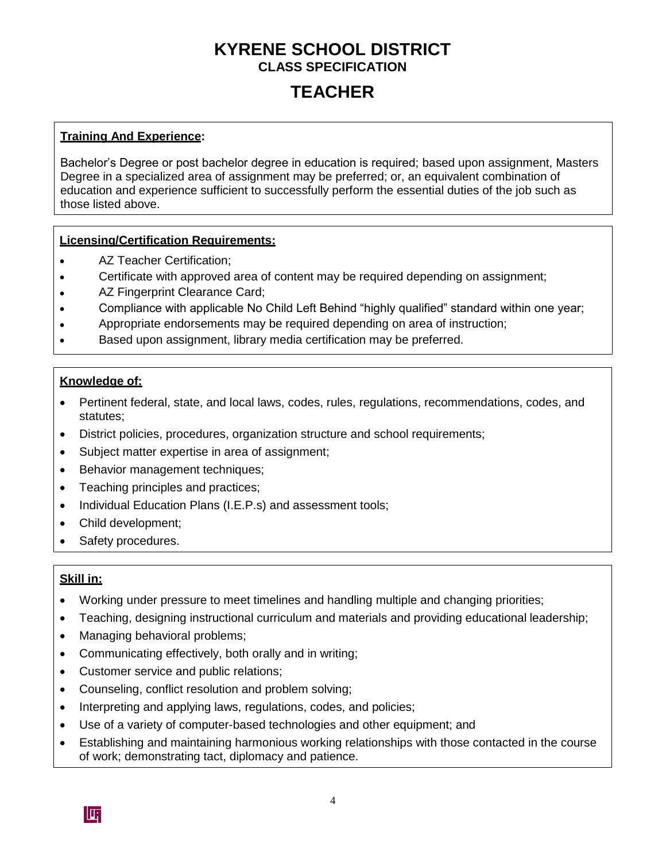## **TEACHER**

### **Training And Experience:**

Bachelor's Degree or post bachelor degree in education is required; based upon assignment, Masters Degree in a specialized area of assignment may be preferred; or, an equivalent combination of education and experience sufficient to successfully perform the essential duties of the job such as those listed above.

### **Licensing/Certification Requirements:**

- AZ Teacher Certification;  $\bullet$
- Certificate with approved area of content may be required depending on assignment;  $\bullet$
- AZ Fingerprint Clearance Card;  $\bullet$
- Compliance with applicable No Child Left Behind "highly qualified" standard within one year;  $\bullet$
- Appropriate endorsements may be required depending on area of instruction;  $\bullet$
- Based upon assignment, library media certification may be preferred.  $\bullet$

#### **Knowledge of:**

- Pertinent federal, state, and local laws, codes, rules, regulations, recommendations, codes, and statutes;
- District policies, procedures, organization structure and school requirements;
- Subject matter expertise in area of assignment;
- Behavior management techniques;
- Teaching principles and practices;
- Individual Education Plans (I.E.P.s) and assessment tools;
- Child development;
- Safety procedures.

### **Skill in:**

- Working under pressure to meet timelines and handling multiple and changing priorities;
- Teaching, designing instructional curriculum and materials and providing educational leadership;
- Managing behavioral problems;
- Communicating effectively, both orally and in writing;
- Customer service and public relations;
- Counseling, conflict resolution and problem solving;
- Interpreting and applying laws, regulations, codes, and policies;
- Use of a variety of computer-based technologies and other equipment; and
- Establishing and maintaining harmonious working relationships with those contacted in the course of work; demonstrating tact, diplomacy and patience.